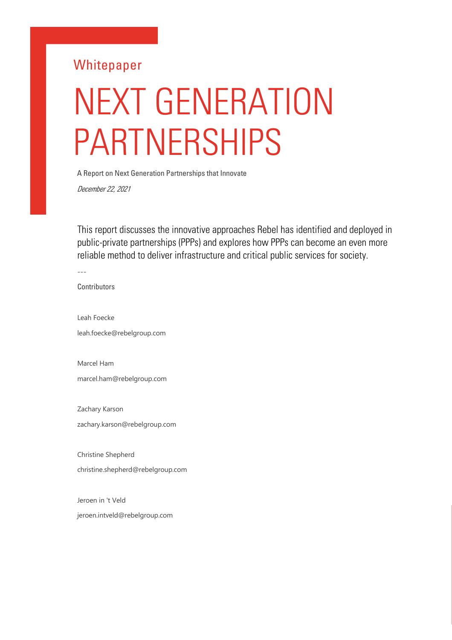# **Whitepaper**

# NEXT GENERATION PARTNERSHIPS

A Report on Next Generation Partnerships that Innovate

December 22, 2021

This report discusses the innovative approaches Rebel has identified and deployed in public-private partnerships (PPPs) and explores how PPPs can become an even more reliable method to deliver infrastructure and critical public services for society.

---

**Contributors** 

Leah Foecke leah.foecke@rebelgroup.com

Marcel Ham marcel.ham@rebelgroup.com

Zachary Karson zachary.karson@rebelgroup.com

Christine Shepherd christine.shepherd@rebelgroup.com

Jeroen in 't Veld jeroen.intveld@rebelgroup.com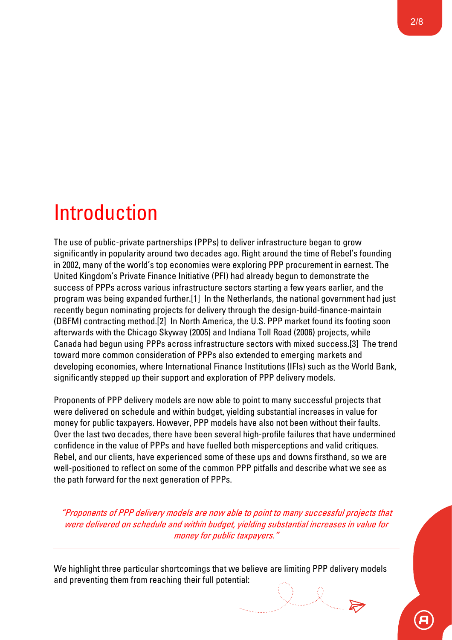# Introduction

The use of public-private partnerships (PPPs) to deliver infrastructure began to grow significantly in popularity around two decades ago. Right around the time of Rebel's founding in 2002, many of the world's top economies were exploring PPP procurement in earnest. The United Kingdom's Private Finance Initiative (PFI) had already begun to demonstrate the success of PPPs across various infrastructure sectors starting a few years earlier, and the program was being expanded further.[1] In the Netherlands, the national government had just recently begun nominating projects for delivery through the design-build-finance-maintain (DBFM) contracting method.[2] In North America, the U.S. PPP market found its footing soon afterwards with the Chicago Skyway (2005) and Indiana Toll Road (2006) projects, while Canada had begun using PPPs across infrastructure sectors with mixed success.[3] The trend toward more common consideration of PPPs also extended to emerging markets and developing economies, where International Finance Institutions (IFIs) such as the World Bank, significantly stepped up their support and exploration of PPP delivery models.

Proponents of PPP delivery models are now able to point to many successful projects that were delivered on schedule and within budget, yielding substantial increases in value for money for public taxpayers. However, PPP models have also not been without their faults. Over the last two decades, there have been several high-profile failures that have undermined confidence in the value of PPPs and have fuelled both misperceptions and valid critiques. Rebel, and our clients, have experienced some of these ups and downs firsthand, so we are well-positioned to reflect on some of the common PPP pitfalls and describe what we see as the path forward for the next generation of PPPs.

"Proponents of PPP delivery models are now able to point to many successful projects that were delivered on schedule and within budget, yielding substantial increases in value for money for public taxpayers."

We highlight three particular shortcomings that we believe are limiting PPP delivery models and preventing them from reaching their full potential: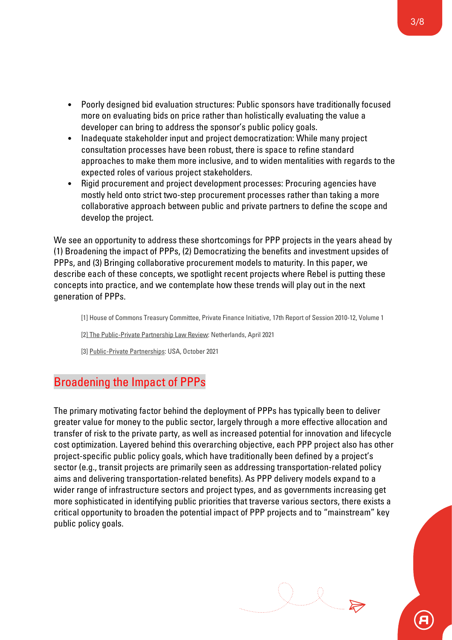- Poorly designed bid evaluation structures: Public sponsors have traditionally focused more on evaluating bids on price rather than holistically evaluating the value a developer can bring to address the sponsor's public policy goals.
- Inadequate stakeholder input and project democratization: While many project consultation processes have been robust, there is space to refine standard approaches to make them more inclusive, and to widen mentalities with regards to the expected roles of various project stakeholders.
- Rigid procurement and project development processes: Procuring agencies have mostly held onto strict two-step procurement processes rather than taking a more collaborative approach between public and private partners to define the scope and develop the project.

We see an opportunity to address these shortcomings for PPP projects in the years ahead by (1) Broadening the impact of PPPs, (2) Democratizing the benefits and investment upsides of PPPs, and (3) Bringing collaborative procurement models to maturity. In this paper, we describe each of these concepts, we spotlight recent projects where Rebel is putting these concepts into practice, and we contemplate how these trends will play out in the next generation of PPPs.

[1] House of Commons Treasury Committee, Private Finance Initiative, 17th Report of Session 2010-12, Volume 1

[2] The Public-Private Partnership Law Review: Netherlands, April 2021

[3] Public-Private Partnerships: USA, October 2021

## Broadening the Impact of PPPs

The primary motivating factor behind the deployment of PPPs has typically been to deliver greater value for money to the public sector, largely through a more effective allocation and transfer of risk to the private party, as well as increased potential for innovation and lifecycle cost optimization. Layered behind this overarching objective, each PPP project also has other project-specific public policy goals, which have traditionally been defined by a project's sector (e.g., transit projects are primarily seen as addressing transportation-related policy aims and delivering transportation-related benefits). As PPP delivery models expand to a wider range of infrastructure sectors and project types, and as governments increasing get more sophisticated in identifying public priorities that traverse various sectors, there exists a critical opportunity to broaden the potential impact of PPP projects and to "mainstream" key public policy goals.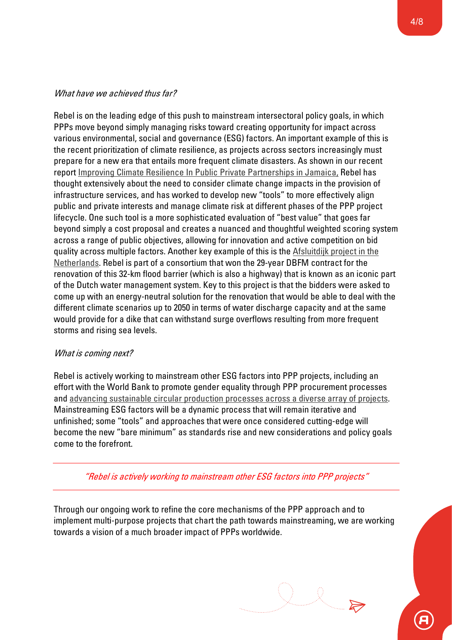#### What have we achieved thus far?

Rebel is on the leading edge of this push to mainstream intersectoral policy goals, in which PPPs move beyond simply managing risks toward creating opportunity for impact across various environmental, social and governance (ESG) factors. An important example of this is the recent prioritization of climate resilience, as projects across sectors increasingly must prepare for a new era that entails more frequent climate disasters. As shown in our recent report Improving Climate Resilience In Public Private Partnerships in Jamaica, Rebel has thought extensively about the need to consider climate change impacts in the provision of infrastructure services, and has worked to develop new "tools" to more effectively align public and private interests and manage climate risk at different phases of the PPP project lifecycle. One such tool is a more sophisticated evaluation of "best value" that goes far beyond simply a cost proposal and creates a nuanced and thoughtful weighted scoring system across a range of public objectives, allowing for innovation and active competition on bid quality across multiple factors. Another key example of this is the Afsluitdijk project in the Netherlands. Rebel is part of a consortium that won the 29-year DBFM contract for the renovation of this 32-km flood barrier (which is also a highway) that is known as an iconic part of the Dutch water management system. Key to this project is that the bidders were asked to come up with an energy-neutral solution for the renovation that would be able to deal with the different climate scenarios up to 2050 in terms of water discharge capacity and at the same would provide for a dike that can withstand surge overflows resulting from more frequent storms and rising sea levels.

#### What is coming next?

Rebel is actively working to mainstream other ESG factors into PPP projects, including an effort with the World Bank to promote gender equality through PPP procurement processes and advancing sustainable circular production processes across a diverse array of projects. Mainstreaming ESG factors will be a dynamic process that will remain iterative and unfinished; some "tools" and approaches that were once considered cutting-edge will become the new "bare minimum" as standards rise and new considerations and policy goals come to the forefront.

"Rebel is actively working to mainstream other ESG factors into PPP projects"

Through our ongoing work to refine the core mechanisms of the PPP approach and to implement multi-purpose projects that chart the path towards mainstreaming, we are working towards a vision of a much broader impact of PPPs worldwide.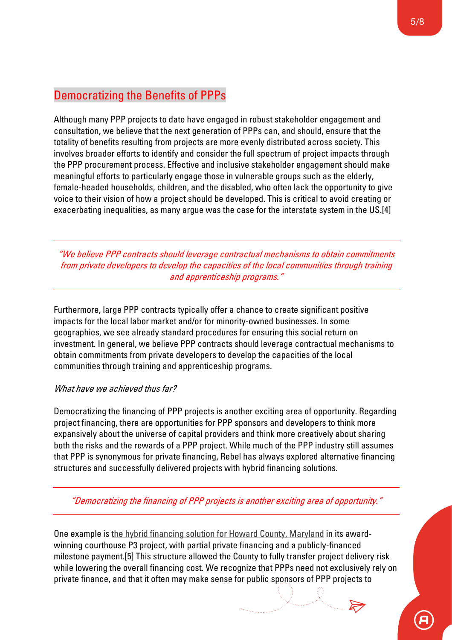# Democratizing the Benefits of PPPs

Although many PPP projects to date have engaged in robust stakeholder engagement and consultation, we believe that the next generation of PPPs can, and should, ensure that the totality of benefits resulting from projects are more evenly distributed across society. This involves broader efforts to identify and consider the full spectrum of project impacts through the PPP procurement process. Effective and inclusive stakeholder engagement should make meaningful efforts to particularly engage those in vulnerable groups such as the elderly, female-headed households, children, and the disabled, who often lack the opportunity to give voice to their vision of how a project should be developed. This is critical to avoid creating or exacerbating inequalities, as many argue was the case for the interstate system in the US.[4]

"We believe PPP contracts should leverage contractual mechanisms to obtain commitments from private developers to develop the capacities of the local communities through training and apprenticeship programs."

Furthermore, large PPP contracts typically offer a chance to create significant positive impacts for the local labor market and/or for minority-owned businesses. In some geographies, we see already standard procedures for ensuring this social return on investment. In general, we believe PPP contracts should leverage contractual mechanisms to obtain commitments from private developers to develop the capacities of the local communities through training and apprenticeship programs.

#### What have we achieved thus far?

Democratizing the financing of PPP projects is another exciting area of opportunity. Regarding project financing, there are opportunities for PPP sponsors and developers to think more expansively about the universe of capital providers and think more creatively about sharing both the risks and the rewards of a PPP project. While much of the PPP industry still assumes that PPP is synonymous for private financing, Rebel has always explored alternative financing structures and successfully delivered projects with hybrid financing solutions.

"Democratizing the financing of PPP projects is another exciting area of opportunity."

One example is the hybrid financing solution for Howard County, Maryland in its awardwinning courthouse P3 project, with partial private financing and a publicly-financed milestone payment.[5] This structure allowed the County to fully transfer project delivery risk while lowering the overall financing cost. We recognize that PPPs need not exclusively rely on private finance, and that it often may make sense for public sponsors of PPP projects to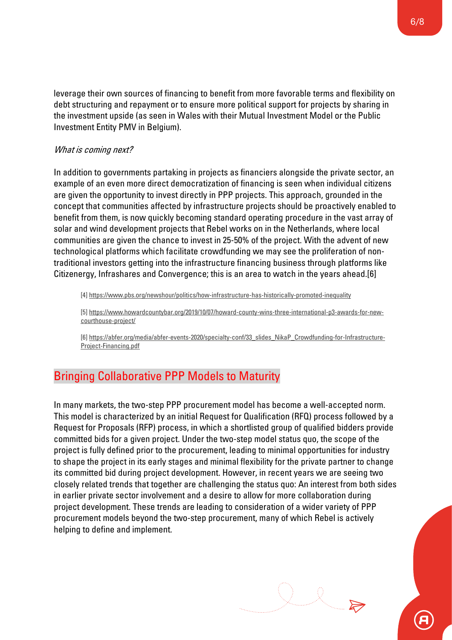leverage their own sources of financing to benefit from more favorable terms and flexibility on debt structuring and repayment or to ensure more political support for projects by sharing in the investment upside (as seen in Wales with their Mutual Investment Model or the Public Investment Entity PMV in Belgium).

#### What is coming next?

In addition to governments partaking in projects as financiers alongside the private sector, an example of an even more direct democratization of financing is seen when individual citizens are given the opportunity to invest directly in PPP projects. This approach, grounded in the concept that communities affected by infrastructure projects should be proactively enabled to benefit from them, is now quickly becoming standard operating procedure in the vast array of solar and wind development projects that Rebel works on in the Netherlands, where local communities are given the chance to invest in 25-50% of the project. With the advent of new technological platforms which facilitate crowdfunding we may see the proliferation of nontraditional investors getting into the infrastructure financing business through platforms like Citizenergy, Infrashares and Convergence; this is an area to watch in the years ahead.[6]

[4] https://www.pbs.org/newshour/politics/how-infrastructure-has-historically-promoted-inequality

[5] https://www.howardcountybar.org/2019/10/07/howard-county-wins-three-international-p3-awards-for-newcourthouse-project/

[6] https://abfer.org/media/abfer-events-2020/specialty-conf/33\_slides\_NikaP\_Crowdfunding-for-Infrastructure-Project-Financing.pdf

# Bringing Collaborative PPP Models to Maturity

In many markets, the two-step PPP procurement model has become a well-accepted norm. This model is characterized by an initial Request for Qualification (RFQ) process followed by a Request for Proposals (RFP) process, in which a shortlisted group of qualified bidders provide committed bids for a given project. Under the two-step model status quo, the scope of the project is fully defined prior to the procurement, leading to minimal opportunities for industry to shape the project in its early stages and minimal flexibility for the private partner to change its committed bid during project development. However, in recent years we are seeing two closely related trends that together are challenging the status quo: An interest from both sides in earlier private sector involvement and a desire to allow for more collaboration during project development. These trends are leading to consideration of a wider variety of PPP procurement models beyond the two-step procurement, many of which Rebel is actively helping to define and implement.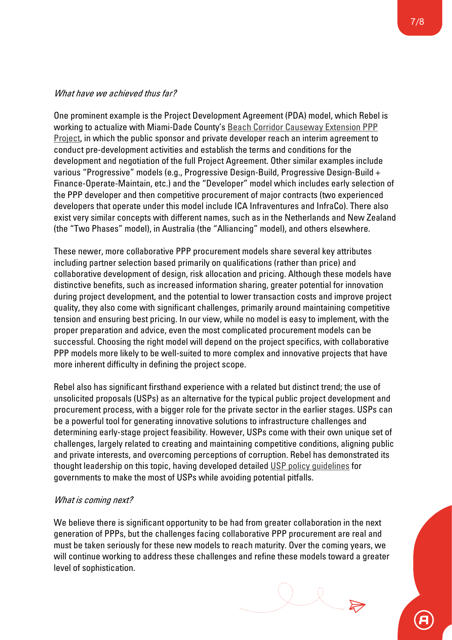#### What have we achieved thus far?

One prominent example is the Project Development Agreement (PDA) model, which Rebel is working to actualize with Miami-Dade County's Beach Corridor Causeway Extension PPP Project, in which the public sponsor and private developer reach an interim agreement to conduct pre-development activities and establish the terms and conditions for the development and negotiation of the full Project Agreement. Other similar examples include various "Progressive" models (e.g., Progressive Design-Build, Progressive Design-Build + Finance-Operate-Maintain, etc.) and the "Developer" model which includes early selection of the PPP developer and then competitive procurement of major contracts (two experienced developers that operate under this model include ICA Infraventures and InfraCo). There also exist very similar concepts with different names, such as in the Netherlands and New Zealand (the "Two Phases" model), in Australia (the "Alliancing" model), and others elsewhere.

These newer, more collaborative PPP procurement models share several key attributes including partner selection based primarily on qualifications (rather than price) and collaborative development of design, risk allocation and pricing. Although these models have distinctive benefits, such as increased information sharing, greater potential for innovation during project development, and the potential to lower transaction costs and improve project quality, they also come with significant challenges, primarily around maintaining competitive tension and ensuring best pricing. In our view, while no model is easy to implement, with the proper preparation and advice, even the most complicated procurement models can be successful. Choosing the right model will depend on the project specifics, with collaborative PPP models more likely to be well-suited to more complex and innovative projects that have more inherent difficulty in defining the project scope.

Rebel also has significant firsthand experience with a related but distinct trend; the use of unsolicited proposals (USPs) as an alternative for the typical public project development and procurement process, with a bigger role for the private sector in the earlier stages. USPs can be a powerful tool for generating innovative solutions to infrastructure challenges and determining early-stage project feasibility. However, USPs come with their own unique set of challenges, largely related to creating and maintaining competitive conditions, aligning public and private interests, and overcoming perceptions of corruption. Rebel has demonstrated its thought leadership on this topic, having developed detailed USP policy guidelines for governments to make the most of USPs while avoiding potential pitfalls.

#### What is coming next?

We believe there is significant opportunity to be had from greater collaboration in the next generation of PPPs, but the challenges facing collaborative PPP procurement are real and must be taken seriously for these new models to reach maturity. Over the coming years, we will continue working to address these challenges and refine these models toward a greater level of sophistication.